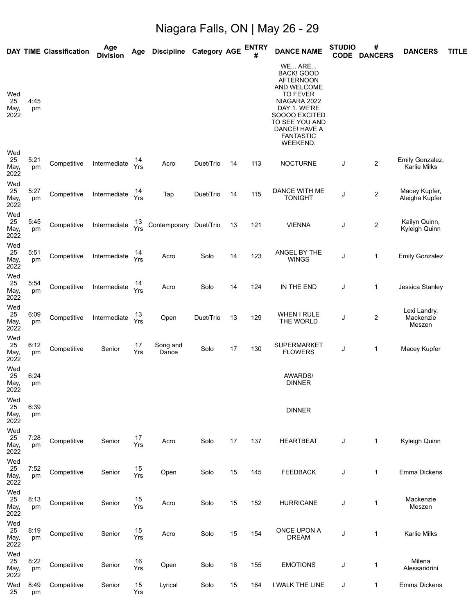## Niagara Falls, ON | May 26 - 29

|                           |            | <b>DAY TIME Classification</b> | Age<br><b>Division</b> | Age       | <b>Discipline</b>      | <b>Category AGE</b> |    | <b>ENTRY</b><br># | <b>DANCE NAME</b>                                                                                                                                                                                     | <b>STUDIO</b><br><b>CODE</b> | #<br><b>DANCERS</b>     | <b>DANCERS</b>                         | <b>TITLE</b> |
|---------------------------|------------|--------------------------------|------------------------|-----------|------------------------|---------------------|----|-------------------|-------------------------------------------------------------------------------------------------------------------------------------------------------------------------------------------------------|------------------------------|-------------------------|----------------------------------------|--------------|
| Wed<br>25<br>May,<br>2022 | 4:45<br>pm |                                |                        |           |                        |                     |    |                   | WE ARE<br><b>BACK! GOOD</b><br><b>AFTERNOON</b><br>AND WELCOME<br><b>TO FEVER</b><br>NIAGARA 2022<br>DAY 1. WE'RE<br>SOOOO EXCITED<br>TO SEE YOU AND<br>DANCE! HAVE A<br><b>FANTASTIC</b><br>WEEKEND. |                              |                         |                                        |              |
| Wed<br>25<br>May,<br>2022 | 5:21<br>pm | Competitive                    | Intermediate           | 14<br>Yrs | Acro                   | Duet/Trio           | 14 | 113               | <b>NOCTURNE</b>                                                                                                                                                                                       | J                            | $\overline{\mathbf{c}}$ | Emily Gonzalez,<br><b>Karlie Milks</b> |              |
| Wed<br>25<br>May,<br>2022 | 5:27<br>pm | Competitive                    | Intermediate           | 14<br>Yrs | Tap                    | Duet/Trio           | 14 | 115               | DANCE WITH ME<br><b>TONIGHT</b>                                                                                                                                                                       | J                            | $\boldsymbol{2}$        | Macey Kupfer,<br>Aleigha Kupfer        |              |
| Wed<br>25<br>May,<br>2022 | 5:45<br>pm | Competitive                    | Intermediate           | 13<br>Yrs | Contemporary Duet/Trio |                     | 13 | 121               | <b>VIENNA</b>                                                                                                                                                                                         | J                            | 2                       | Kailyn Quinn,<br>Kyleigh Quinn         |              |
| Wed<br>25<br>May,<br>2022 | 5:51<br>pm | Competitive                    | Intermediate           | 14<br>Yrs | Acro                   | Solo                | 14 | 123               | ANGEL BY THE<br><b>WINGS</b>                                                                                                                                                                          | J                            | 1                       | <b>Emily Gonzalez</b>                  |              |
| Wed<br>25<br>May,<br>2022 | 5:54<br>pm | Competitive                    | Intermediate           | Yrs       | Acro                   | Solo                | 14 | 124               | IN THE END                                                                                                                                                                                            | J                            | 1                       | Jessica Stanley                        |              |
| Wed<br>25<br>May,<br>2022 | 6:09<br>pm | Competitive                    | Intermediate           | 13<br>Yrs | Open                   | Duet/Trio           | 13 | 129               | <b>WHEN I RULE</b><br>THE WORLD                                                                                                                                                                       | J                            | $\overline{\mathbf{c}}$ | Lexi Landry,<br>Mackenzie<br>Meszen    |              |
| Wed<br>25<br>May,<br>2022 | 6:12<br>pm | Competitive                    | Senior                 | 17<br>Yrs | Song and<br>Dance      | Solo                | 17 | 130               | SUPERMARKET<br><b>FLOWERS</b>                                                                                                                                                                         | J                            | 1                       | Macey Kupfer                           |              |
| Wed<br>25<br>May,<br>2022 | 6:24<br>pm |                                |                        |           |                        |                     |    |                   | <b>AWARDS/</b><br><b>DINNER</b>                                                                                                                                                                       |                              |                         |                                        |              |
| Wed<br>25<br>May,<br>2022 | 6:39<br>pm |                                |                        |           |                        |                     |    |                   | <b>DINNER</b>                                                                                                                                                                                         |                              |                         |                                        |              |
| Wed<br>25<br>May,<br>2022 | 7:28<br>pm | Competitive                    | Senior                 | 17<br>Yrs | Acro                   | Solo                | 17 | 137               | <b>HEARTBEAT</b>                                                                                                                                                                                      | J                            | $\mathbf 1$             | Kyleigh Quinn                          |              |
| Wed<br>25<br>May,<br>2022 | 7:52<br>pm | Competitive                    | Senior                 | 15<br>Yrs | Open                   | Solo                | 15 | 145               | <b>FEEDBACK</b>                                                                                                                                                                                       | J                            | 1                       | Emma Dickens                           |              |
| Wed<br>25<br>May,<br>2022 | 8:13<br>pm | Competitive                    | Senior                 | 15<br>Yrs | Acro                   | Solo                | 15 | 152               | <b>HURRICANE</b>                                                                                                                                                                                      | J                            | $\mathbf 1$             | Mackenzie<br>Meszen                    |              |
| Wed<br>25<br>May,<br>2022 | 8:19<br>pm | Competitive                    | Senior                 | 15<br>Yrs | Acro                   | Solo                | 15 | 154               | ONCE UPON A<br><b>DREAM</b>                                                                                                                                                                           | J                            | $\mathbf 1$             | Karlie Milks                           |              |
| Wed<br>25<br>May,<br>2022 | 8:22<br>pm | Competitive                    | Senior                 | 16<br>Yrs | Open                   | Solo                | 16 | 155               | <b>EMOTIONS</b>                                                                                                                                                                                       | J                            | 1                       | Milena<br>Alessandrini                 |              |
| Wed<br>25                 | 8:49<br>pm | Competitive                    | Senior                 | 15<br>Yrs | Lyrical                | Solo                | 15 | 164               | I WALK THE LINE                                                                                                                                                                                       | J                            | $\mathbf 1$             | Emma Dickens                           |              |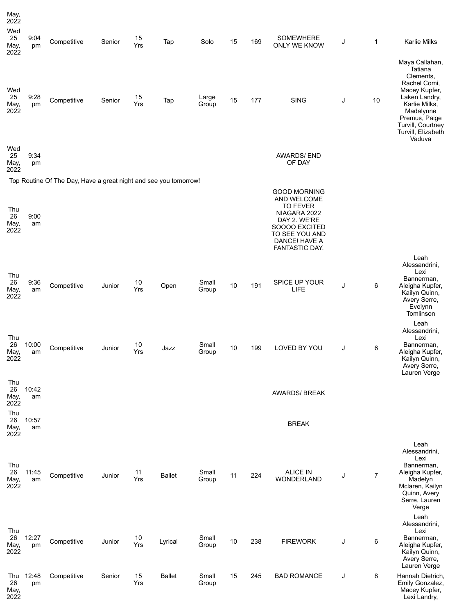| May,<br>2022<br>Wed<br>25<br>May,<br>2022 | 9:04<br>pm  | Competitive                                                      | Senior | 15<br>Yrs | Tap           | Solo           | 15 | 169 | <b>SOMEWHERE</b><br>ONLY WE KNOW                                                                                                                            | J | 1              | <b>Karlie Milks</b>                                                                                                                                                                          |
|-------------------------------------------|-------------|------------------------------------------------------------------|--------|-----------|---------------|----------------|----|-----|-------------------------------------------------------------------------------------------------------------------------------------------------------------|---|----------------|----------------------------------------------------------------------------------------------------------------------------------------------------------------------------------------------|
| Wed<br>25<br>May,<br>2022                 | 9:28<br>pm  | Competitive                                                      | Senior | 15<br>Yrs | Tap           | Large<br>Group | 15 | 177 | <b>SING</b>                                                                                                                                                 | J | 10             | Maya Callahan,<br>Tatiana<br>Clements.<br>Rachel Comi,<br>Macey Kupfer,<br>Laken Landry,<br>Karlie Milks,<br>Madalynne<br>Premus, Paige<br>Turvill, Courtney<br>Turvill, Elizabeth<br>Vaduva |
| Wed<br>25<br>May,<br>2022                 | 9:34<br>pm  |                                                                  |        |           |               |                |    |     | <b>AWARDS/END</b><br>OF DAY                                                                                                                                 |   |                |                                                                                                                                                                                              |
|                                           |             | Top Routine Of The Day, Have a great night and see you tomorrow! |        |           |               |                |    |     |                                                                                                                                                             |   |                |                                                                                                                                                                                              |
| Thu<br>26<br>May,<br>2022                 | 9:00<br>am  |                                                                  |        |           |               |                |    |     | <b>GOOD MORNING</b><br>AND WELCOME<br><b>TO FEVER</b><br>NIAGARA 2022<br>DAY 2. WE'RE<br>SOOOO EXCITED<br>TO SEE YOU AND<br>DANCE! HAVE A<br>FANTASTIC DAY. |   |                |                                                                                                                                                                                              |
| Thu<br>26<br>May,<br>2022                 | 9:36<br>am  | Competitive                                                      | Junior | 10<br>Yrs | Open          | Small<br>Group | 10 | 191 | SPICE UP YOUR<br>LIFE                                                                                                                                       | J | 6              | Leah<br>Alessandrini,<br>Lexi<br>Bannerman,<br>Aleigha Kupfer,<br>Kailyn Quinn,<br>Avery Serre,<br>Evelynn<br>Tomlinson                                                                      |
| Thu<br>26<br>May,<br>2022                 | 10:00<br>am | Competitive                                                      | Junior | 10<br>Yrs | Jazz          | Small<br>Group | 10 | 199 | LOVED BY YOU                                                                                                                                                | J | 6              | Leah<br>Alessandrini,<br>Lexi<br>Bannerman,<br>Aleigha Kupfer,<br>Kailyn Quinn,<br>Avery Serre,                                                                                              |
| Thu<br>26<br>May,<br>2022                 | 10:42<br>am |                                                                  |        |           |               |                |    |     | <b>AWARDS/ BREAK</b>                                                                                                                                        |   |                | Lauren Verge                                                                                                                                                                                 |
| Thu<br>26<br>May,<br>2022                 | 10:57<br>am |                                                                  |        |           |               |                |    |     | <b>BREAK</b>                                                                                                                                                |   |                |                                                                                                                                                                                              |
| Thu<br>26<br>May,<br>2022                 | 11:45<br>am | Competitive                                                      | Junior | 11<br>Yrs | <b>Ballet</b> | Small<br>Group | 11 | 224 | <b>ALICE IN</b><br>WONDERLAND                                                                                                                               | J | $\overline{7}$ | Leah<br>Alessandrini,<br>Lexi<br>Bannerman,<br>Aleigha Kupfer,<br>Madelyn<br>Mclaren, Kailyn<br>Quinn, Avery<br>Serre, Lauren<br>Verge                                                       |
| Thu<br>26<br>May,<br>2022                 | 12:27<br>pm | Competitive                                                      | Junior | 10<br>Yrs | Lyrical       | Small<br>Group | 10 | 238 | <b>FIREWORK</b>                                                                                                                                             | J | 6              | Leah<br>Alessandrini,<br>Lexi<br>Bannerman,<br>Aleigha Kupfer,<br>Kailyn Quinn,<br>Avery Serre,<br>Lauren Verge                                                                              |
| Thu<br>26<br>May,<br>2022                 | 12:48<br>pm | Competitive                                                      | Senior | 15<br>Yrs | <b>Ballet</b> | Small<br>Group | 15 | 245 | <b>BAD ROMANCE</b>                                                                                                                                          | J | 8              | Hannah Dietrich,<br>Emily Gonzalez,<br>Macey Kupfer,<br>Lexi Landry,                                                                                                                         |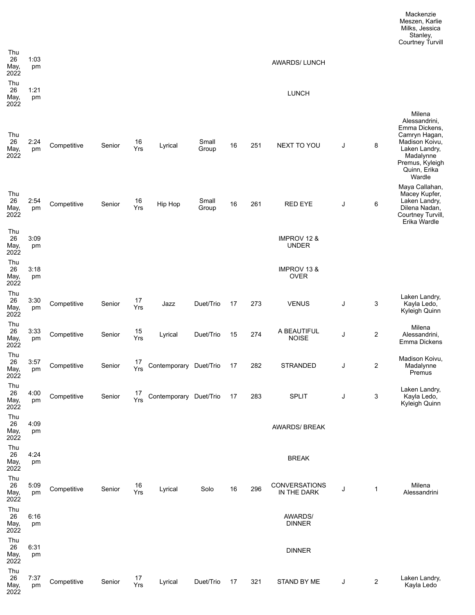| Thu<br>26<br>May,<br>2022 | 1:03<br>pm |             |        |           |                           |                |    |     | <b>AWARDS/LUNCH</b>                   |   |   |                                                                                                                                                        |
|---------------------------|------------|-------------|--------|-----------|---------------------------|----------------|----|-----|---------------------------------------|---|---|--------------------------------------------------------------------------------------------------------------------------------------------------------|
| Thu<br>26<br>May,<br>2022 | 1:21<br>pm |             |        |           |                           |                |    |     | <b>LUNCH</b>                          |   |   |                                                                                                                                                        |
| Thu<br>26<br>May,<br>2022 | 2:24<br>pm | Competitive | Senior | 16<br>Yrs | Lyrical                   | Small<br>Group | 16 | 251 | NEXT TO YOU                           | J | 8 | Milena<br>Alessandrini,<br>Emma Dickens,<br>Camryn Hagan,<br>Madison Koivu,<br>Laken Landry,<br>Madalynne<br>Premus, Kyleigh<br>Quinn, Erika<br>Wardle |
| Thu<br>26<br>May,<br>2022 | 2:54<br>pm | Competitive | Senior | 16<br>Yrs | Hip Hop                   | Small<br>Group | 16 | 261 | <b>RED EYE</b>                        | J | 6 | Maya Callahan,<br>Macey Kupfer,<br>Laken Landry,<br>Dilena Nadan,<br>Courtney Turvill,<br>Erika Wardle                                                 |
| Thu<br>26<br>May,<br>2022 | 3:09<br>pm |             |        |           |                           |                |    |     | IMPROV 12 &<br><b>UNDER</b>           |   |   |                                                                                                                                                        |
| Thu<br>26<br>May,<br>2022 | 3:18<br>pm |             |        |           |                           |                |    |     | <b>IMPROV 13 &amp;</b><br><b>OVER</b> |   |   |                                                                                                                                                        |
| Thu<br>26<br>May,<br>2022 | 3:30<br>pm | Competitive | Senior | 17<br>Yrs | Jazz                      | Duet/Trio      | 17 | 273 | <b>VENUS</b>                          | J | 3 | Laken Landry,<br>Kayla Ledo,<br>Kyleigh Quinn                                                                                                          |
| Thu<br>26<br>May,<br>2022 | 3:33<br>pm | Competitive | Senior | 15<br>Yrs | Lyrical                   | Duet/Trio      | 15 | 274 | A BEAUTIFUL<br><b>NOISE</b>           | J | 2 | Milena<br>Alessandrini,<br>Emma Dickens                                                                                                                |
| Thu<br>26<br>May,<br>2022 | 3:57<br>pm | Competitive | Senior | 17<br>Yrs | Contemporary Duet/Trio    |                | 17 | 282 | <b>STRANDED</b>                       | J | 2 | Madison Koivu,<br>Madalynne<br>Premus                                                                                                                  |
| Thu<br>26<br>May,<br>2022 | 4:00<br>pm | Competitive | Senior | 17<br>Yrs | Contemporary Duet/Trio 17 |                |    | 283 | <b>SPLIT</b>                          | J | 3 | Laken Landry,<br>Kayla Ledo,<br>Kyleigh Quinn                                                                                                          |
| Thu<br>26<br>May,<br>2022 | 4:09<br>pm |             |        |           |                           |                |    |     | <b>AWARDS/ BREAK</b>                  |   |   |                                                                                                                                                        |
| Thu<br>26<br>May,<br>2022 | 4:24<br>pm |             |        |           |                           |                |    |     | <b>BREAK</b>                          |   |   |                                                                                                                                                        |
| Thu<br>26<br>May,<br>2022 | 5:09<br>pm | Competitive | Senior | 16<br>Yrs | Lyrical                   | Solo           | 16 | 296 | CONVERSATIONS<br>IN THE DARK          | J | 1 | Milena<br>Alessandrini                                                                                                                                 |
| Thu<br>26<br>May,<br>2022 | 6:16<br>pm |             |        |           |                           |                |    |     | <b>AWARDS/</b><br><b>DINNER</b>       |   |   |                                                                                                                                                        |
| Thu<br>26<br>May,<br>2022 | 6:31<br>pm |             |        |           |                           |                |    |     | <b>DINNER</b>                         |   |   |                                                                                                                                                        |
| Thu<br>26<br>May,<br>2022 | 7:37<br>pm | Competitive | Senior | 17<br>Yrs | Lyrical                   | Duet/Trio      | 17 | 321 | STAND BY ME                           | J | 2 | Laken Landry,<br>Kayla Ledo                                                                                                                            |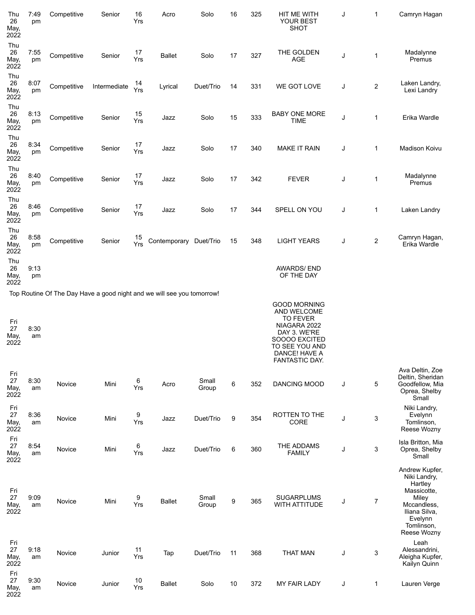| Thu<br>26<br>May,<br>2022 | 7:49<br>pm | Competitive | Senior       | 16<br>Yrs | Acro                                                                   | Solo           | 16 | 325 | HIT ME WITH<br>YOUR BEST<br>SHOT                                                                                                                            | J | 1              | Camryn Hagan                                                                                                               |
|---------------------------|------------|-------------|--------------|-----------|------------------------------------------------------------------------|----------------|----|-----|-------------------------------------------------------------------------------------------------------------------------------------------------------------|---|----------------|----------------------------------------------------------------------------------------------------------------------------|
| Thu<br>26<br>May,<br>2022 | 7:55<br>pm | Competitive | Senior       | 17<br>Yrs | <b>Ballet</b>                                                          | Solo           | 17 | 327 | THE GOLDEN<br><b>AGE</b>                                                                                                                                    | J | 1              | Madalynne<br>Premus                                                                                                        |
| Thu<br>26<br>May,<br>2022 | 8:07<br>pm | Competitive | Intermediate | 14<br>Yrs | Lyrical                                                                | Duet/Trio      | 14 | 331 | WE GOT LOVE                                                                                                                                                 | J | $\overline{c}$ | Laken Landry,<br>Lexi Landry                                                                                               |
| Thu<br>26<br>May,<br>2022 | 8:13<br>pm | Competitive | Senior       | 15<br>Yrs | Jazz                                                                   | Solo           | 15 | 333 | <b>BABY ONE MORE</b><br><b>TIME</b>                                                                                                                         | J | 1              | Erika Wardle                                                                                                               |
| Thu<br>26<br>May,<br>2022 | 8:34<br>pm | Competitive | Senior       | 17<br>Yrs | Jazz                                                                   | Solo           | 17 | 340 | <b>MAKE IT RAIN</b>                                                                                                                                         | J | 1              | Madison Koivu                                                                                                              |
| Thu<br>26<br>May,<br>2022 | 8:40<br>pm | Competitive | Senior       | 17<br>Yrs | Jazz                                                                   | Solo           | 17 | 342 | <b>FEVER</b>                                                                                                                                                | J | 1              | Madalynne<br>Premus                                                                                                        |
| Thu<br>26<br>May,<br>2022 | 8:46<br>pm | Competitive | Senior       | 17<br>Yrs | Jazz                                                                   | Solo           | 17 | 344 | SPELL ON YOU                                                                                                                                                | J | 1              | Laken Landry                                                                                                               |
| Thu<br>26<br>May,<br>2022 | 8:58<br>pm | Competitive | Senior       | 15<br>Yrs | Contemporary Duet/Trio                                                 |                | 15 | 348 | <b>LIGHT YEARS</b>                                                                                                                                          | J | 2              | Camryn Hagan,<br>Erika Wardle                                                                                              |
| Thu<br>26<br>May,<br>2022 | 9:13<br>pm |             |              |           |                                                                        |                |    |     | <b>AWARDS/END</b><br>OF THE DAY                                                                                                                             |   |                |                                                                                                                            |
|                           |            |             |              |           | Top Routine Of The Day Have a good night and we will see you tomorrow! |                |    |     |                                                                                                                                                             |   |                |                                                                                                                            |
| Fri<br>27<br>May,<br>2022 | 8:30<br>am |             |              |           |                                                                        |                |    |     | <b>GOOD MORNING</b><br>AND WELCOME<br><b>TO FEVER</b><br>NIAGARA 2022<br>DAY 3. WE'RE<br>SOOOO EXCITED<br>TO SEE YOU AND<br>DANCE! HAVE A<br>FANTASTIC DAY. |   |                |                                                                                                                            |
| Fri<br>27<br>May,<br>2022 | 8:30<br>am | Novice      | Mini         | 6<br>Yrs  | Acro                                                                   | Small<br>Group | 6  | 352 | DANCING MOOD                                                                                                                                                | J | 5              | Ava Deltin, Zoe<br>Deltin, Sheridan<br>Goodfellow, Mia<br>Oprea, Shelby<br>Small                                           |
| Fri<br>27<br>May,<br>2022 | 8:36<br>am | Novice      | Mini         | 9<br>Yrs  | Jazz                                                                   | Duet/Trio      | 9  | 354 | <b>ROTTEN TO THE</b><br>CORE                                                                                                                                | J | 3              | Niki Landry,<br>Evelynn<br>Tomlinson,<br>Reese Wozny                                                                       |
| Fri<br>27<br>May,<br>2022 | 8:54<br>am | Novice      | Mini         | 6<br>Yrs  | Jazz                                                                   | Duet/Trio      | 6  | 360 | THE ADDAMS<br><b>FAMILY</b>                                                                                                                                 | J | 3              | Isla Britton, Mia<br>Oprea, Shelby<br>Small                                                                                |
| Fri<br>27<br>May,<br>2022 | 9:09<br>am | Novice      | Mini         | 9<br>Yrs  | <b>Ballet</b>                                                          | Small<br>Group | 9  | 365 | <b>SUGARPLUMS</b><br>WITH ATTITUDE                                                                                                                          | J | $\overline{7}$ | Andrew Kupfer,<br>Niki Landry,<br>Hartley<br>Massicotte,<br>Miley<br>Mccandless,<br>Iliana Silva,<br>Evelynn<br>Tomlinson, |
| Fri<br>27<br>May,<br>2022 | 9:18<br>am | Novice      | Junior       | 11<br>Yrs | Tap                                                                    | Duet/Trio      | 11 | 368 | <b>THAT MAN</b>                                                                                                                                             | J | 3              | Reese Wozny<br>Leah<br>Alessandrini,<br>Aleigha Kupfer,<br>Kailyn Quinn                                                    |
| Fri<br>27<br>May,<br>2022 | 9:30<br>am | Novice      | Junior       | 10<br>Yrs | <b>Ballet</b>                                                          | Solo           | 10 | 372 | <b>MY FAIR LADY</b>                                                                                                                                         | J | $\mathbf 1$    | Lauren Verge                                                                                                               |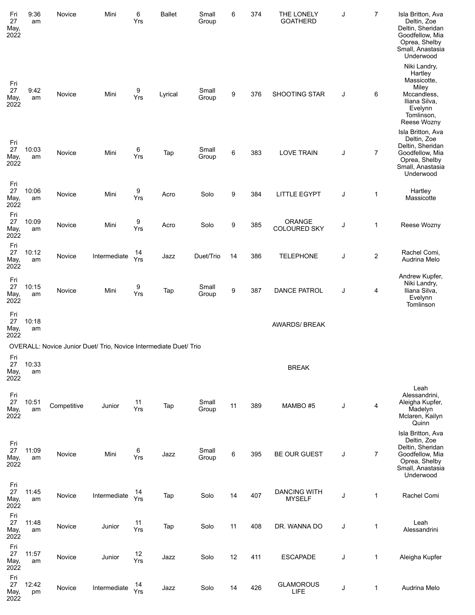| Fri<br>27<br>May,<br>2022 | 9:36<br>am  | Novice      | Mini                                                              | 6<br>Yrs  | <b>Ballet</b> | Small<br>Group | 6  | 374 | THE LONELY<br><b>GOATHERD</b>        | J | $\overline{7}$ | Isla Britton, Ava<br>Deltin, Zoe<br>Deltin, Sheridan<br>Goodfellow, Mia<br>Oprea, Shelby<br>Small, Anastasia<br>Underwood                |
|---------------------------|-------------|-------------|-------------------------------------------------------------------|-----------|---------------|----------------|----|-----|--------------------------------------|---|----------------|------------------------------------------------------------------------------------------------------------------------------------------|
| Fri<br>27<br>May,<br>2022 | 9:42<br>am  | Novice      | Mini                                                              | 9<br>Yrs  | Lyrical       | Small<br>Group | 9  | 376 | SHOOTING STAR                        | J | 6              | Niki Landry,<br>Hartley<br>Massicotte,<br>Miley<br>Mccandless,<br>Iliana Silva,<br>Evelynn<br>Tomlinson,                                 |
| Fri<br>27<br>May,<br>2022 | 10:03<br>am | Novice      | Mini                                                              | 6<br>Yrs  | Tap           | Small<br>Group | 6  | 383 | <b>LOVE TRAIN</b>                    | J | 7              | Reese Wozny<br>Isla Britton, Ava<br>Deltin, Zoe<br>Deltin, Sheridan<br>Goodfellow, Mia<br>Oprea, Shelby<br>Small, Anastasia<br>Underwood |
| Fri<br>27<br>May,<br>2022 | 10:06<br>am | Novice      | Mini                                                              | 9<br>Yrs  | Acro          | Solo           | 9  | 384 | <b>LITTLE EGYPT</b>                  | J | 1              | Hartley<br>Massicotte                                                                                                                    |
| Fri<br>27<br>May,<br>2022 | 10:09<br>am | Novice      | Mini                                                              | 9<br>Yrs  | Acro          | Solo           | 9  | 385 | ORANGE<br><b>COLOURED SKY</b>        | J | 1              | Reese Wozny                                                                                                                              |
| Fri<br>27<br>May,<br>2022 | 10:12<br>am | Novice      | Intermediate                                                      | 14<br>Yrs | Jazz          | Duet/Trio      | 14 | 386 | <b>TELEPHONE</b>                     | J | $\overline{c}$ | Rachel Comi,<br>Audrina Melo                                                                                                             |
| Fri<br>27<br>May,<br>2022 | 10:15<br>am | Novice      | Mini                                                              | 9<br>Yrs  | Tap           | Small<br>Group | 9  | 387 | <b>DANCE PATROL</b>                  | J | 4              | Andrew Kupfer,<br>Niki Landry,<br>Iliana Silva,<br>Evelynn<br>Tomlinson                                                                  |
| Fri<br>27<br>May,<br>2022 | 10:18<br>am |             |                                                                   |           |               |                |    |     | <b>AWARDS/ BREAK</b>                 |   |                |                                                                                                                                          |
|                           |             |             | OVERALL: Novice Junior Duet/ Trio, Novice Intermediate Duet/ Trio |           |               |                |    |     |                                      |   |                |                                                                                                                                          |
| Fri<br>27<br>May,<br>2022 | 10:33<br>am |             |                                                                   |           |               |                |    |     | <b>BREAK</b>                         |   |                |                                                                                                                                          |
| Fri<br>27<br>May,<br>2022 | 10:51<br>am | Competitive | Junior                                                            | 11<br>Yrs | Tap           | Small<br>Group | 11 | 389 | MAMBO #5                             | J | 4              | Leah<br>Alessandrini,<br>Aleigha Kupfer,<br>Madelyn<br>Mclaren, Kailyn<br>Quinn                                                          |
| Fri<br>27<br>May,<br>2022 | 11:09<br>am | Novice      | Mini                                                              | 6<br>Yrs  | Jazz          | Small<br>Group | 6  | 395 | <b>BE OUR GUEST</b>                  | J | 7              | Isla Britton, Ava<br>Deltin, Zoe<br>Deltin, Sheridan<br>Goodfellow, Mia<br>Oprea, Shelby<br>Small, Anastasia<br>Underwood                |
| Fri<br>27<br>May,<br>2022 | 11:45<br>am | Novice      | Intermediate                                                      | 14<br>Yrs | Tap           | Solo           | 14 | 407 | <b>DANCING WITH</b><br><b>MYSELF</b> | J | $\mathbf{1}$   | Rachel Comi                                                                                                                              |
| Fri<br>27<br>May,<br>2022 | 11:48<br>am | Novice      | Junior                                                            | 11<br>Yrs | Tap           | Solo           | 11 | 408 | DR. WANNA DO                         | J | $\mathbf 1$    | Leah<br>Alessandrini                                                                                                                     |
| Fri<br>27<br>May,<br>2022 | 11:57<br>am | Novice      | Junior                                                            | 12<br>Yrs | Jazz          | Solo           | 12 | 411 | <b>ESCAPADE</b>                      | J | $\mathbf{1}$   | Aleigha Kupfer                                                                                                                           |
| Fri<br>27<br>May,<br>2022 | 12:42<br>pm | Novice      | Intermediate                                                      | 14<br>Yrs | Jazz          | Solo           | 14 | 426 | <b>GLAMOROUS</b><br><b>LIFE</b>      | J | 1              | Audrina Melo                                                                                                                             |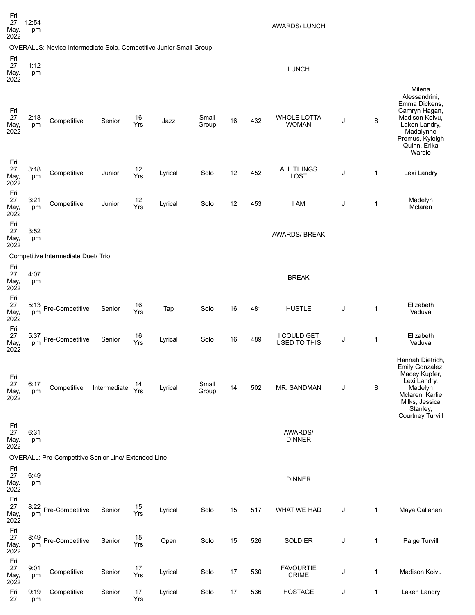| Fri<br>27<br>May,<br>2022 | 12:54<br>pm |                                                                    |              |           |         |                |    |     | <b>AWARDS/LUNCH</b>                |   |              |                                                                                                                                                        |
|---------------------------|-------------|--------------------------------------------------------------------|--------------|-----------|---------|----------------|----|-----|------------------------------------|---|--------------|--------------------------------------------------------------------------------------------------------------------------------------------------------|
|                           |             | OVERALLS: Novice Intermediate Solo, Competitive Junior Small Group |              |           |         |                |    |     |                                    |   |              |                                                                                                                                                        |
| Fri<br>27<br>May,<br>2022 | 1:12<br>pm  |                                                                    |              |           |         |                |    |     | <b>LUNCH</b>                       |   |              |                                                                                                                                                        |
| Fri<br>27<br>May,<br>2022 | 2:18<br>pm  | Competitive                                                        | Senior       | 16<br>Yrs | Jazz    | Small<br>Group | 16 | 432 | <b>WHOLE LOTTA</b><br><b>WOMAN</b> | J | 8            | Milena<br>Alessandrini,<br>Emma Dickens,<br>Camryn Hagan,<br>Madison Koivu,<br>Laken Landry,<br>Madalynne<br>Premus, Kyleigh<br>Quinn, Erika<br>Wardle |
| Fri<br>27<br>May,<br>2022 | 3:18<br>pm  | Competitive                                                        | Junior       | 12<br>Yrs | Lyrical | Solo           | 12 | 452 | <b>ALL THINGS</b><br><b>LOST</b>   | J | $\mathbf{1}$ | Lexi Landry                                                                                                                                            |
| Fri<br>27<br>May,<br>2022 | 3:21<br>pm  | Competitive                                                        | Junior       | 12<br>Yrs | Lyrical | Solo           | 12 | 453 | I AM                               | J | 1            | Madelyn<br>Mclaren                                                                                                                                     |
| Fri<br>27<br>May,<br>2022 | 3:52<br>pm  |                                                                    |              |           |         |                |    |     | <b>AWARDS/ BREAK</b>               |   |              |                                                                                                                                                        |
|                           |             | Competitive Intermediate Duet/ Trio                                |              |           |         |                |    |     |                                    |   |              |                                                                                                                                                        |
| Fri<br>27<br>May,<br>2022 | 4:07<br>pm  |                                                                    |              |           |         |                |    |     | <b>BREAK</b>                       |   |              |                                                                                                                                                        |
| Fri<br>27<br>May,<br>2022 | 5:13<br>pm  | Pre-Competitive                                                    | Senior       | 16<br>Yrs | Tap     | Solo           | 16 | 481 | <b>HUSTLE</b>                      | J | 1            | Elizabeth<br>Vaduva                                                                                                                                    |
| Fri<br>27<br>May,<br>2022 | 5:37<br>pm  | Pre-Competitive                                                    | Senior       | 16<br>Yrs | Lyrical | Solo           | 16 | 489 | I COULD GET<br><b>USED TO THIS</b> | J | 1            | Elizabeth<br>Vaduva                                                                                                                                    |
| Fri<br>27<br>May,<br>2022 | 6:17<br>pm  | Competitive                                                        | Intermediate | 14<br>Yrs | Lyrical | Small<br>Group | 14 | 502 | MR. SANDMAN                        | J | 8            | Hannah Dietrich,<br>Emily Gonzalez,<br>Macey Kupfer,<br>Lexi Landry,<br>Madelyn<br>Mclaren, Karlie<br>Milks, Jessica<br>Stanley,<br>Courtney Turvill   |
| Fri<br>27<br>May,<br>2022 | 6:31<br>pm  |                                                                    |              |           |         |                |    |     | <b>AWARDS/</b><br><b>DINNER</b>    |   |              |                                                                                                                                                        |
|                           |             | OVERALL: Pre-Competitive Senior Line/ Extended Line                |              |           |         |                |    |     |                                    |   |              |                                                                                                                                                        |
| Fri<br>27<br>May,<br>2022 | 6:49<br>pm  |                                                                    |              |           |         |                |    |     | <b>DINNER</b>                      |   |              |                                                                                                                                                        |
| Fri<br>27<br>May,<br>2022 | 8:22<br>pm  | Pre-Competitive                                                    | Senior       | 15<br>Yrs | Lyrical | Solo           | 15 | 517 | WHAT WE HAD                        | J | 1            | Maya Callahan                                                                                                                                          |
| Fri<br>27<br>May,<br>2022 | 8:49<br>pm  | Pre-Competitive                                                    | Senior       | 15<br>Yrs | Open    | Solo           | 15 | 526 | <b>SOLDIER</b>                     | J | 1            | Paige Turvill                                                                                                                                          |
| Fri<br>27<br>May,<br>2022 | 9:01<br>pm  | Competitive                                                        | Senior       | 17<br>Yrs | Lyrical | Solo           | 17 | 530 | <b>FAVOURTIE</b><br><b>CRIME</b>   | J | 1            | Madison Koivu                                                                                                                                          |
| Fri<br>27                 | 9:19<br>pm  | Competitive                                                        | Senior       | 17<br>Yrs | Lyrical | Solo           | 17 | 536 | <b>HOSTAGE</b>                     | J | 1            | Laken Landry                                                                                                                                           |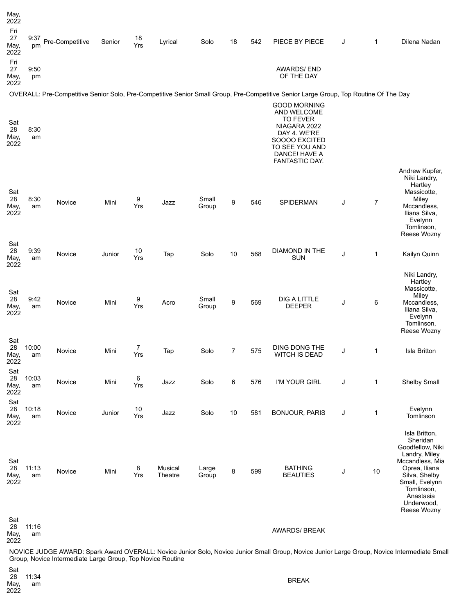| May,<br>2022              |             |                 |        |           |                    |                |    |     |                                                                                                                                                             |   |                |                                                                                                                                                                                               |
|---------------------------|-------------|-----------------|--------|-----------|--------------------|----------------|----|-----|-------------------------------------------------------------------------------------------------------------------------------------------------------------|---|----------------|-----------------------------------------------------------------------------------------------------------------------------------------------------------------------------------------------|
| Fri<br>27<br>May,<br>2022 | 9:37<br>pm  | Pre-Competitive | Senior | 18<br>Yrs | Lyrical            | Solo           | 18 | 542 | PIECE BY PIECE                                                                                                                                              | J | $\mathbf{1}$   | Dilena Nadan                                                                                                                                                                                  |
| Fri<br>27<br>May,<br>2022 | 9:50<br>pm  |                 |        |           |                    |                |    |     | <b>AWARDS/END</b><br>OF THE DAY                                                                                                                             |   |                |                                                                                                                                                                                               |
|                           |             |                 |        |           |                    |                |    |     | OVERALL: Pre-Competitive Senior Solo, Pre-Competitive Senior Small Group, Pre-Competitive Senior Large Group, Top Routine Of The Day                        |   |                |                                                                                                                                                                                               |
| Sat<br>28<br>May,<br>2022 | 8:30<br>am  |                 |        |           |                    |                |    |     | <b>GOOD MORNING</b><br>AND WELCOME<br><b>TO FEVER</b><br>NIAGARA 2022<br>DAY 4. WE'RE<br>SOOOO EXCITED<br>TO SEE YOU AND<br>DANCE! HAVE A<br>FANTASTIC DAY. |   |                |                                                                                                                                                                                               |
| Sat<br>28<br>May,<br>2022 | 8:30<br>am  | Novice          | Mini   | 9<br>Yrs  | Jazz               | Small<br>Group | 9  | 546 | SPIDERMAN                                                                                                                                                   | J | $\overline{7}$ | Andrew Kupfer,<br>Niki Landry,<br>Hartley<br>Massicotte,<br>Miley<br>Mccandless,<br>Iliana Silva,<br>Evelynn<br>Tomlinson,                                                                    |
| Sat<br>28<br>May,<br>2022 | 9:39<br>am  | Novice          | Junior | 10<br>Yrs | Tap                | Solo           | 10 | 568 | DIAMOND IN THE<br><b>SUN</b>                                                                                                                                | J | $\mathbf{1}$   | Reese Wozny<br>Kailyn Quinn                                                                                                                                                                   |
| Sat<br>28<br>May,<br>2022 | 9:42<br>am  | Novice          | Mini   | 9<br>Yrs  | Acro               | Small<br>Group | 9  | 569 | <b>DIG A LITTLE</b><br><b>DEEPER</b>                                                                                                                        | J | 6              | Niki Landry,<br>Hartley<br>Massicotte,<br>Miley<br>Mccandless,<br>Iliana Silva,<br>Evelynn<br>Tomlinson,                                                                                      |
| Sat<br>28<br>May,<br>2022 | 10:00<br>am | Novice          | Mini   | 7<br>Yrs  | Tap                | Solo           | 7  | 575 | DING DONG THE<br><b>WITCH IS DEAD</b>                                                                                                                       | J | $\mathbf{1}$   | Reese Wozny<br><b>Isla Britton</b>                                                                                                                                                            |
| Sat<br>28<br>May,<br>2022 | 10:03<br>am | Novice          | Mini   | 6<br>Yrs  | Jazz               | Solo           | 6  | 576 | I'M YOUR GIRL                                                                                                                                               | J | $\mathbf{1}$   | Shelby Small                                                                                                                                                                                  |
| Sat<br>28<br>May,<br>2022 | 10:18<br>am | Novice          | Junior | 10<br>Yrs | Jazz               | Solo           | 10 | 581 | <b>BONJOUR, PARIS</b>                                                                                                                                       | J | $\mathbf 1$    | Evelynn<br>Tomlinson                                                                                                                                                                          |
| Sat<br>28<br>May,<br>2022 | 11:13<br>am | Novice          | Mini   | 8<br>Yrs  | Musical<br>Theatre | Large<br>Group | 8  | 599 | <b>BATHING</b><br><b>BEAUTIES</b>                                                                                                                           | J | 10             | Isla Britton,<br>Sheridan<br>Goodfellow, Niki<br>Landry, Miley<br>Mccandless, Mia<br>Oprea, Iliana<br>Silva, Shelby<br>Small, Evelynn<br>Tomlinson,<br>Anastasia<br>Underwood,<br>Reese Wozny |
| Sat<br>28<br>May,         | 11:16<br>am |                 |        |           |                    |                |    |     | <b>AWARDS/ BREAK</b>                                                                                                                                        |   |                |                                                                                                                                                                                               |

2022

NOVICE JUDGE AWARD: Spark Award OVERALL: Novice Junior Solo, Novice Junior Small Group, Novice Junior Large Group, Novice Intermediate Small Group, Novice Intermediate Large Group, Top Novice Routine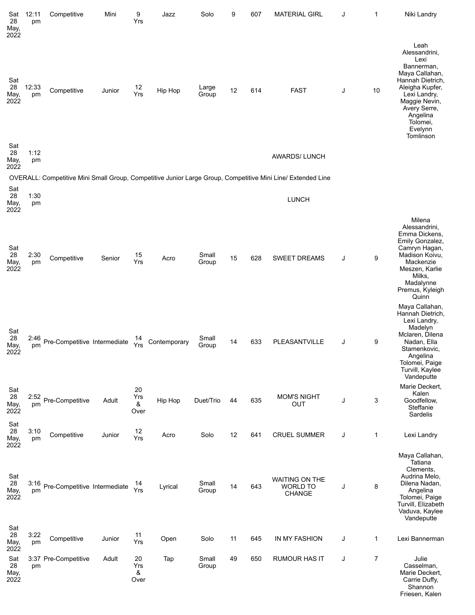| Sat<br>28<br>May,                 | 12:11<br>pm | Competitive                  | Mini   | 9<br>Yrs               | Jazz         | Solo           | 9  | 607 | <b>MATERIAL GIRL</b>                                                                                        | J | 1              | Niki Landry                                                                                                                                                                                           |
|-----------------------------------|-------------|------------------------------|--------|------------------------|--------------|----------------|----|-----|-------------------------------------------------------------------------------------------------------------|---|----------------|-------------------------------------------------------------------------------------------------------------------------------------------------------------------------------------------------------|
| 2022<br>Sat<br>28<br>May,<br>2022 | 12:33<br>pm | Competitive                  | Junior | 12<br>Yrs              | Hip Hop      | Large<br>Group | 12 | 614 | <b>FAST</b>                                                                                                 | J | 10             | Leah<br>Alessandrini,<br>Lexi<br>Bannerman,<br>Maya Callahan,<br>Hannah Dietrich,<br>Aleigha Kupfer,<br>Lexi Landry,<br>Maggie Nevin,<br>Avery Serre,<br>Angelina<br>Tolomei,<br>Evelynn<br>Tomlinson |
| Sat<br>28<br>May,<br>2022         | 1:12<br>pm  |                              |        |                        |              |                |    |     | <b>AWARDS/LUNCH</b>                                                                                         |   |                |                                                                                                                                                                                                       |
|                                   |             |                              |        |                        |              |                |    |     | OVERALL: Competitive Mini Small Group, Competitive Junior Large Group, Competitive Mini Line/ Extended Line |   |                |                                                                                                                                                                                                       |
| Sat<br>28<br>May,<br>2022         | 1:30<br>pm  |                              |        |                        |              |                |    |     | <b>LUNCH</b>                                                                                                |   |                |                                                                                                                                                                                                       |
| Sat<br>28<br>May,<br>2022         | 2:30<br>pm  | Competitive                  | Senior | 15<br>Yrs              | Acro         | Small<br>Group | 15 | 628 | <b>SWEET DREAMS</b>                                                                                         | J | 9              | Milena<br>Alessandrini,<br>Emma Dickens,<br>Emily Gonzalez,<br>Camryn Hagan,<br>Madison Koivu,<br>Mackenzie<br>Meszen, Karlie<br>Milks,<br>Madalynne<br>Premus, Kyleigh<br>Quinn<br>Maya Callahan,    |
| Sat<br>28<br>May,<br>2022         | 2:46<br>pm  | Pre-Competitive Intermediate |        | 14<br>Yrs              | Contemporary | Small<br>Group | 14 | 633 | PLEASANTVILLE                                                                                               | J | 9              | Hannah Dietrich,<br>Lexi Landry,<br>Madelyn<br>Mclaren, Dilena<br>Nadan, Ella<br>Stamenkovic,<br>Angelina<br>Tolomei, Paige<br>Turvill, Kaylee<br>Vandeputte                                          |
| Sat<br>28<br>May,<br>2022         | 2:52<br>pm  | Pre-Competitive              | Adult  | 20<br>Yrs<br>&<br>Over | Hip Hop      | Duet/Trio      | 44 | 635 | <b>MOM'S NIGHT</b><br><b>OUT</b>                                                                            | J | 3              | Marie Deckert,<br>Kalen<br>Goodfellow,<br>Steffanie<br>Sardelis                                                                                                                                       |
| Sat<br>28<br>May,                 | 3:10<br>pm  | Competitive                  | Junior | 12<br>Yrs              | Acro         | Solo           | 12 | 641 | <b>CRUEL SUMMER</b>                                                                                         | J | 1              | Lexi Landry                                                                                                                                                                                           |
| 2022<br>Sat<br>28<br>May,<br>2022 | 3:16<br>pm  | Pre-Competitive Intermediate |        | 14<br>Yrs              | Lyrical      | Small<br>Group | 14 | 643 | <b>WAITING ON THE</b><br><b>WORLD TO</b><br><b>CHANGE</b>                                                   | J | 8              | Maya Callahan,<br>Tatiana<br>Clements,<br>Audrina Melo,<br>Dilena Nadan,<br>Angelina<br>Tolomei, Paige<br>Turvill, Elizabeth<br>Vaduva, Kaylee<br>Vandeputte                                          |
| Sat<br>28<br>May,<br>2022         | 3:22<br>pm  | Competitive                  | Junior | 11<br>Yrs              | Open         | Solo           | 11 | 645 | IN MY FASHION                                                                                               | J | $\mathbf 1$    | Lexi Bannerman                                                                                                                                                                                        |
| Sat<br>28<br>May,<br>2022         | pm          | 3:37 Pre-Competitive         | Adult  | 20<br>Yrs<br>&<br>Over | Tap          | Small<br>Group | 49 | 650 | <b>RUMOUR HAS IT</b>                                                                                        | J | $\overline{7}$ | Julie<br>Casselman,<br>Marie Deckert,<br>Carrie Duffy,<br>Shannon<br>Friesen, Kalen                                                                                                                   |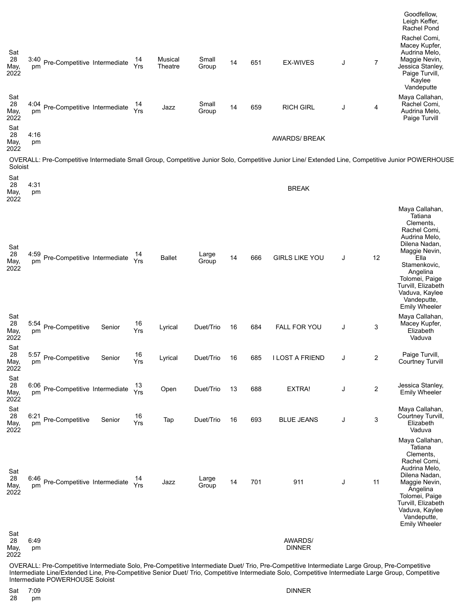|                           |            |                              |        |           |                    |                |    |     |                                                                                                                                                   |   |                         | Goodfellow,<br>Leigh Keffer,<br>Rachel Pond                                                                                                                                                                            |
|---------------------------|------------|------------------------------|--------|-----------|--------------------|----------------|----|-----|---------------------------------------------------------------------------------------------------------------------------------------------------|---|-------------------------|------------------------------------------------------------------------------------------------------------------------------------------------------------------------------------------------------------------------|
| Sat<br>28<br>May,<br>2022 | 3:40<br>pm | Pre-Competitive Intermediate |        | 14<br>Yrs | Musical<br>Theatre | Small<br>Group | 14 | 651 | EX-WIVES                                                                                                                                          | J | $\overline{7}$          | Rachel Comi,<br>Macey Kupfer,<br>Audrina Melo,<br>Maggie Nevin,<br>Jessica Stanley,<br>Paige Turvill,<br>Kaylee<br>Vandeputte                                                                                          |
| Sat<br>28<br>May,<br>2022 | 4:04<br>pm | Pre-Competitive Intermediate |        | 14<br>Yrs | Jazz               | Small<br>Group | 14 | 659 | <b>RICH GIRL</b>                                                                                                                                  | J | 4                       | Maya Callahan,<br>Rachel Comi,<br>Audrina Melo,<br>Paige Turvill                                                                                                                                                       |
| Sat<br>28<br>May,<br>2022 | 4:16<br>pm |                              |        |           |                    |                |    |     | <b>AWARDS/ BREAK</b>                                                                                                                              |   |                         |                                                                                                                                                                                                                        |
| Soloist                   |            |                              |        |           |                    |                |    |     | OVERALL: Pre-Competitive Intermediate Small Group, Competitive Junior Solo, Competitive Junior Line/ Extended Line, Competitive Junior POWERHOUSE |   |                         |                                                                                                                                                                                                                        |
| Sat<br>28<br>May,<br>2022 | 4:31<br>pm |                              |        |           |                    |                |    |     | <b>BREAK</b>                                                                                                                                      |   |                         |                                                                                                                                                                                                                        |
| Sat<br>28<br>May,<br>2022 | 4:59<br>pm | Pre-Competitive Intermediate |        | 14<br>Yrs | <b>Ballet</b>      | Large<br>Group | 14 | 666 | <b>GIRLS LIKE YOU</b>                                                                                                                             | J | 12                      | Maya Callahan,<br>Tatiana<br>Clements,<br>Rachel Comi,<br>Audrina Melo,<br>Dilena Nadan,<br>Maggie Nevin,<br>Ella<br>Stamenkovic,<br>Angelina<br>Tolomei, Paige<br>Turvill, Elizabeth<br>Vaduva, Kaylee<br>Vandeputte, |
| Sat<br>28<br>May,<br>2022 | 5:54<br>pm | Pre-Competitive              | Senior | 16<br>Yrs | Lyrical            | Duet/Trio      | 16 | 684 | <b>FALL FOR YOU</b>                                                                                                                               | J | 3                       | <b>Emily Wheeler</b><br>Maya Callahan,<br>Macey Kupfer,<br>Elizabeth<br>Vaduva                                                                                                                                         |
| Sat<br>28<br>May,<br>2022 | 5:57<br>pm | Pre-Competitive              | Senior | 16<br>Yrs | Lyrical            | Duet/Trio      | 16 | 685 | <b>I LOST A FRIEND</b>                                                                                                                            | J | 2                       | Paige Turvill,<br>Courtney Turvill                                                                                                                                                                                     |
| Sat<br>28<br>May,<br>2022 | 6:06<br>pm | Pre-Competitive Intermediate |        | 13<br>Yrs | Open               | Duet/Trio      | 13 | 688 | EXTRA!                                                                                                                                            | J | $\overline{\mathbf{c}}$ | Jessica Stanley,<br>Emily Wheeler                                                                                                                                                                                      |
| Sat<br>28<br>May,<br>2022 | 6:21<br>pm | Pre-Competitive              | Senior | 16<br>Yrs | Tap                | Duet/Trio      | 16 | 693 | <b>BLUE JEANS</b>                                                                                                                                 | J | 3                       | Maya Callahan,<br>Courtney Turvill,<br>Elizabeth<br>Vaduva                                                                                                                                                             |
| Sat<br>28<br>May,<br>2022 | 6:46<br>pm | Pre-Competitive Intermediate |        | 14<br>Yrs | Jazz               | Large<br>Group | 14 | 701 | 911                                                                                                                                               | J | 11                      | Maya Callahan,<br>Tatiana<br>Clements,<br>Rachel Comi,<br>Audrina Melo,<br>Dilena Nadan,<br>Maggie Nevin,<br>Angelina<br>Tolomei, Paige<br>Turvill, Elizabeth<br>Vaduva, Kaylee<br>Vandeputte,<br><b>Emily Wheeler</b> |
| Sat<br>28<br>May,<br>2022 | 6:49<br>pm |                              |        |           |                    |                |    |     | AWARDS/<br><b>DINNER</b>                                                                                                                          |   |                         |                                                                                                                                                                                                                        |

OVERALL: Pre-Competitive Intermediate Solo, Pre-Competitive Intermediate Duet/ Trio, Pre-Competitive Intermediate Large Group, Pre-Competitive Intermediate Line/Extended Line, Pre-Competitive Senior Duet/ Trio, Competitive Intermediate Solo, Competitive Intermediate Large Group, Competitive Intermediate POWERHOUSE Soloist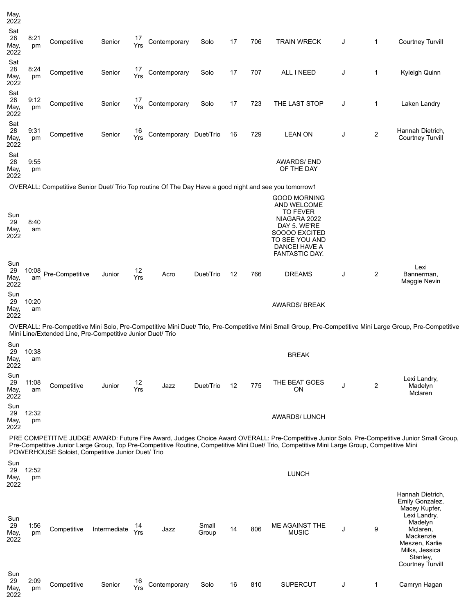| May,<br>2022              |             |                                                            |              |           |                        |                |    |     |                                                                                                                                                             |   |                |                                                                                                                                                          |
|---------------------------|-------------|------------------------------------------------------------|--------------|-----------|------------------------|----------------|----|-----|-------------------------------------------------------------------------------------------------------------------------------------------------------------|---|----------------|----------------------------------------------------------------------------------------------------------------------------------------------------------|
| Sat<br>28<br>May,<br>2022 | 8:21<br>pm  | Competitive                                                | Senior       | 17<br>Yrs | Contemporary           | Solo           | 17 | 706 | <b>TRAIN WRECK</b>                                                                                                                                          | J | $\mathbf 1$    | <b>Courtney Turvill</b>                                                                                                                                  |
| Sat<br>28<br>May,<br>2022 | 8:24<br>pm  | Competitive                                                | Senior       | 17<br>Yrs | Contemporary           | Solo           | 17 | 707 | ALL I NEED                                                                                                                                                  | J | 1              | Kyleigh Quinn                                                                                                                                            |
| Sat<br>28<br>May,<br>2022 | 9:12<br>pm  | Competitive                                                | Senior       | 17<br>Yrs | Contemporary           | Solo           | 17 | 723 | THE LAST STOP                                                                                                                                               | J | 1              | Laken Landry                                                                                                                                             |
| Sat<br>28<br>May,<br>2022 | 9:31<br>pm  | Competitive                                                | Senior       | 16<br>Yrs | Contemporary Duet/Trio |                | 16 | 729 | <b>LEAN ON</b>                                                                                                                                              | J | 2              | Hannah Dietrich,<br><b>Courtney Turvill</b>                                                                                                              |
| Sat<br>28<br>May,<br>2022 | 9:55<br>pm  |                                                            |              |           |                        |                |    |     | <b>AWARDS/END</b><br>OF THE DAY                                                                                                                             |   |                |                                                                                                                                                          |
|                           |             |                                                            |              |           |                        |                |    |     | OVERALL: Competitive Senior Duet/ Trio Top routine Of The Day Have a good night and see you tomorrow1                                                       |   |                |                                                                                                                                                          |
| Sun<br>29<br>May,<br>2022 | 8:40<br>am  |                                                            |              |           |                        |                |    |     | <b>GOOD MORNING</b><br>AND WELCOME<br><b>TO FEVER</b><br>NIAGARA 2022<br>DAY 5. WE'RE<br>SOOOO EXCITED<br>TO SEE YOU AND<br>DANCE! HAVE A<br>FANTASTIC DAY. |   |                |                                                                                                                                                          |
| Sun<br>29<br>May,<br>2022 | 10:08<br>am | Pre-Competitive                                            | Junior       | 12<br>Yrs | Acro                   | Duet/Trio      | 12 | 766 | <b>DREAMS</b>                                                                                                                                               | J | 2              | Lexi<br>Bannerman,<br>Maggie Nevin                                                                                                                       |
| Sun<br>29<br>May,<br>2022 | 10:20<br>am |                                                            |              |           |                        |                |    |     | <b>AWARDS/ BREAK</b>                                                                                                                                        |   |                |                                                                                                                                                          |
|                           |             | Mini Line/Extended Line, Pre-Competitive Junior Duet/ Trio |              |           |                        |                |    |     |                                                                                                                                                             |   |                | OVERALL: Pre-Competitive Mini Solo, Pre-Competitive Mini Duet/ Trio, Pre-Competitive Mini Small Group, Pre-Competitive Mini Large Group, Pre-Competitive |
| Sun<br>29                 | 10:38       |                                                            |              |           |                        |                |    |     |                                                                                                                                                             |   |                |                                                                                                                                                          |
| May,<br>2022              | am          |                                                            |              |           |                        |                |    |     | <b>BREAK</b>                                                                                                                                                |   |                |                                                                                                                                                          |
| Sun<br>29<br>May,<br>2022 | 11:08<br>am | Competitive                                                | Junior       | 12<br>Yrs | Jazz                   | Duet/Trio      | 12 | 775 | THE BEAT GOES<br>ON                                                                                                                                         | J | $\overline{2}$ | Lexi Landry,<br>Madelyn<br>Mclaren                                                                                                                       |
| Sun<br>29<br>May,<br>2022 | 12:32<br>pm |                                                            |              |           |                        |                |    |     | <b>AWARDS/LUNCH</b>                                                                                                                                         |   |                |                                                                                                                                                          |
|                           |             | POWERHOUSE Soloist, Competitive Junior Duet/ Trio          |              |           |                        |                |    |     | Pre-Competitive Junior Large Group, Top Pre-Competitive Routine, Competitive Mini Duet/ Trio, Competitive Mini Large Group, Competitive Mini                |   |                | PRE COMPETITIVE JUDGE AWARD: Future Fire Award, Judges Choice Award OVERALL: Pre-Competitive Junior Solo, Pre-Competitive Junior Small Group,            |
| Sun<br>29<br>May,<br>2022 | 12:52<br>pm |                                                            |              |           |                        |                |    |     | <b>LUNCH</b>                                                                                                                                                |   |                |                                                                                                                                                          |
| Sun<br>29<br>May,<br>2022 | 1:56<br>pm  | Competitive                                                | Intermediate | 14<br>Yrs | Jazz                   | Small<br>Group | 14 | 806 | ME AGAINST THE<br><b>MUSIC</b>                                                                                                                              | J | 9              | Hannah Dietrich,<br>Emily Gonzalez,<br>Macey Kupfer,<br>Lexi Landry,<br>Madelyn<br>Mclaren,<br>Mackenzie<br>Meszen, Karlie<br>Milks, Jessica             |
| Sun                       |             |                                                            |              |           |                        |                |    |     |                                                                                                                                                             |   |                | Stanley,<br><b>Courtney Turvill</b>                                                                                                                      |
| 29<br>May,<br>2022        | 2:09<br>pm  | Competitive                                                | Senior       | 16<br>Yrs | Contemporary           | Solo           | 16 | 810 | <b>SUPERCUT</b>                                                                                                                                             | J | 1              | Camryn Hagan                                                                                                                                             |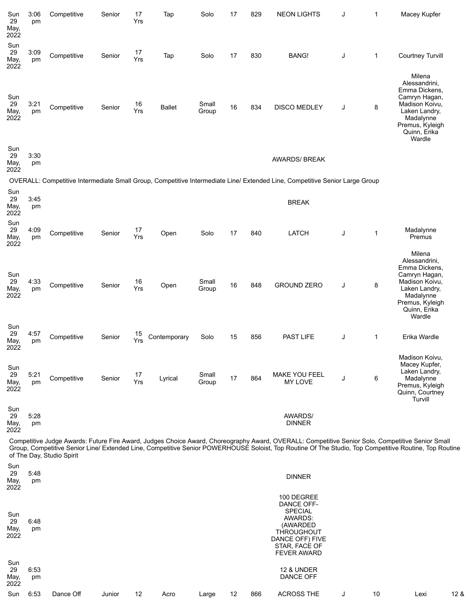| Sun<br>29<br>May,<br>2022 | 3:06<br>pm | Competitive               | Senior | 17<br>Yrs | Tap           | Solo           | 17 | 829 | <b>NEON LIGHTS</b>                                                                                                                               | J | $\mathbf{1}$ | Macey Kupfer                                                                                                                                           |
|---------------------------|------------|---------------------------|--------|-----------|---------------|----------------|----|-----|--------------------------------------------------------------------------------------------------------------------------------------------------|---|--------------|--------------------------------------------------------------------------------------------------------------------------------------------------------|
| Sun<br>29<br>May,<br>2022 | 3:09<br>pm | Competitive               | Senior | 17<br>Yrs | Tap           | Solo           | 17 | 830 | <b>BANG!</b>                                                                                                                                     | J | $\mathbf 1$  | <b>Courtney Turvill</b>                                                                                                                                |
| Sun<br>29<br>May,<br>2022 | 3:21<br>pm | Competitive               | Senior | 16<br>Yrs | <b>Ballet</b> | Small<br>Group | 16 | 834 | <b>DISCO MEDLEY</b>                                                                                                                              | J | 8            | Milena<br>Alessandrini,<br>Emma Dickens,<br>Camryn Hagan,<br>Madison Koivu,<br>Laken Landry,<br>Madalynne<br>Premus, Kyleigh<br>Quinn, Erika<br>Wardle |
| Sun<br>29<br>May,<br>2022 | 3:30<br>pm |                           |        |           |               |                |    |     | <b>AWARDS/ BREAK</b>                                                                                                                             |   |              |                                                                                                                                                        |
|                           |            |                           |        |           |               |                |    |     | OVERALL: Competitive Intermediate Small Group, Competitive Intermediate Line/ Extended Line, Competitive Senior Large Group                      |   |              |                                                                                                                                                        |
| Sun<br>29<br>May,<br>2022 | 3:45<br>pm |                           |        |           |               |                |    |     | <b>BREAK</b>                                                                                                                                     |   |              |                                                                                                                                                        |
| Sun<br>29<br>May,<br>2022 | 4:09<br>pm | Competitive               | Senior | 17<br>Yrs | Open          | Solo           | 17 | 840 | <b>LATCH</b>                                                                                                                                     | J | $\mathbf 1$  | Madalynne<br>Premus                                                                                                                                    |
| Sun<br>29<br>May,<br>2022 | 4:33<br>pm | Competitive               | Senior | 16<br>Yrs | Open          | Small<br>Group | 16 | 848 | <b>GROUND ZERO</b>                                                                                                                               | J | 8            | Milena<br>Alessandrini,<br>Emma Dickens,<br>Camryn Hagan,<br>Madison Koivu,<br>Laken Landry,<br>Madalynne<br>Premus, Kyleigh<br>Quinn, Erika<br>Wardle |
| Sun<br>29<br>May,<br>2022 | 4:57<br>pm | Competitive               | Senior | 15<br>Yrs | Contemporary  | Solo           | 15 | 856 | PAST LIFE                                                                                                                                        | J | 1            | Erika Wardle                                                                                                                                           |
| Sun<br>29<br>May,<br>2022 | 5:21<br>pm | Competitive               | Senior | 17<br>Yrs | Lyrical       | Small<br>Group | 17 | 864 | MAKE YOU FEEL<br><b>MY LOVE</b>                                                                                                                  | J | 6            | Madison Koivu,<br>Macey Kupfer,<br>Laken Landry,<br>Madalynne<br>Premus, Kyleigh<br>Quinn, Courtney<br>Turvill                                         |
| Sun<br>29<br>May,<br>2022 | 5:28<br>pm |                           |        |           |               |                |    |     | <b>AWARDS/</b><br><b>DINNER</b>                                                                                                                  |   |              |                                                                                                                                                        |
|                           |            | of The Day, Studio Spirit |        |           |               |                |    |     | Competitive Judge Awards: Future Fire Award, Judges Choice Award, Choreography Award, OVERALL: Competitive Senior Solo, Competitive Senior Small |   |              | Group, Competitive Senior Line/ Extended Line, Competitive Senior POWERHOUSE Soloist, Top Routine Of The Studio, Top Competitive Routine, Top Routine  |
| Sun<br>29<br>May,<br>2022 | 5:48<br>pm |                           |        |           |               |                |    |     | <b>DINNER</b>                                                                                                                                    |   |              |                                                                                                                                                        |
| Sun<br>29<br>May,<br>2022 | 6:48<br>pm |                           |        |           |               |                |    |     | 100 DEGREE<br>DANCE OFF-<br><b>SPECIAL</b><br>AWARDS:<br>(AWARDED<br><b>THROUGHOUT</b><br>DANCE OFF) FIVE<br>STAR, FACE OF                       |   |              |                                                                                                                                                        |
| Sun<br>29<br>May,<br>2022 | 6:53<br>pm |                           |        |           |               |                |    |     | <b>FEVER AWARD</b><br><b>12 &amp; UNDER</b><br>DANCE OFF                                                                                         |   |              |                                                                                                                                                        |

|  |  |  |  |  |  |  |  |  | Sun 6:53 Dance Off Junior 12 Acro Large 12 866 ACROSS THE J 10 |  |  | <u>Lexies in Lexies in the se</u> | 12 & |
|--|--|--|--|--|--|--|--|--|----------------------------------------------------------------|--|--|-----------------------------------|------|
|--|--|--|--|--|--|--|--|--|----------------------------------------------------------------|--|--|-----------------------------------|------|